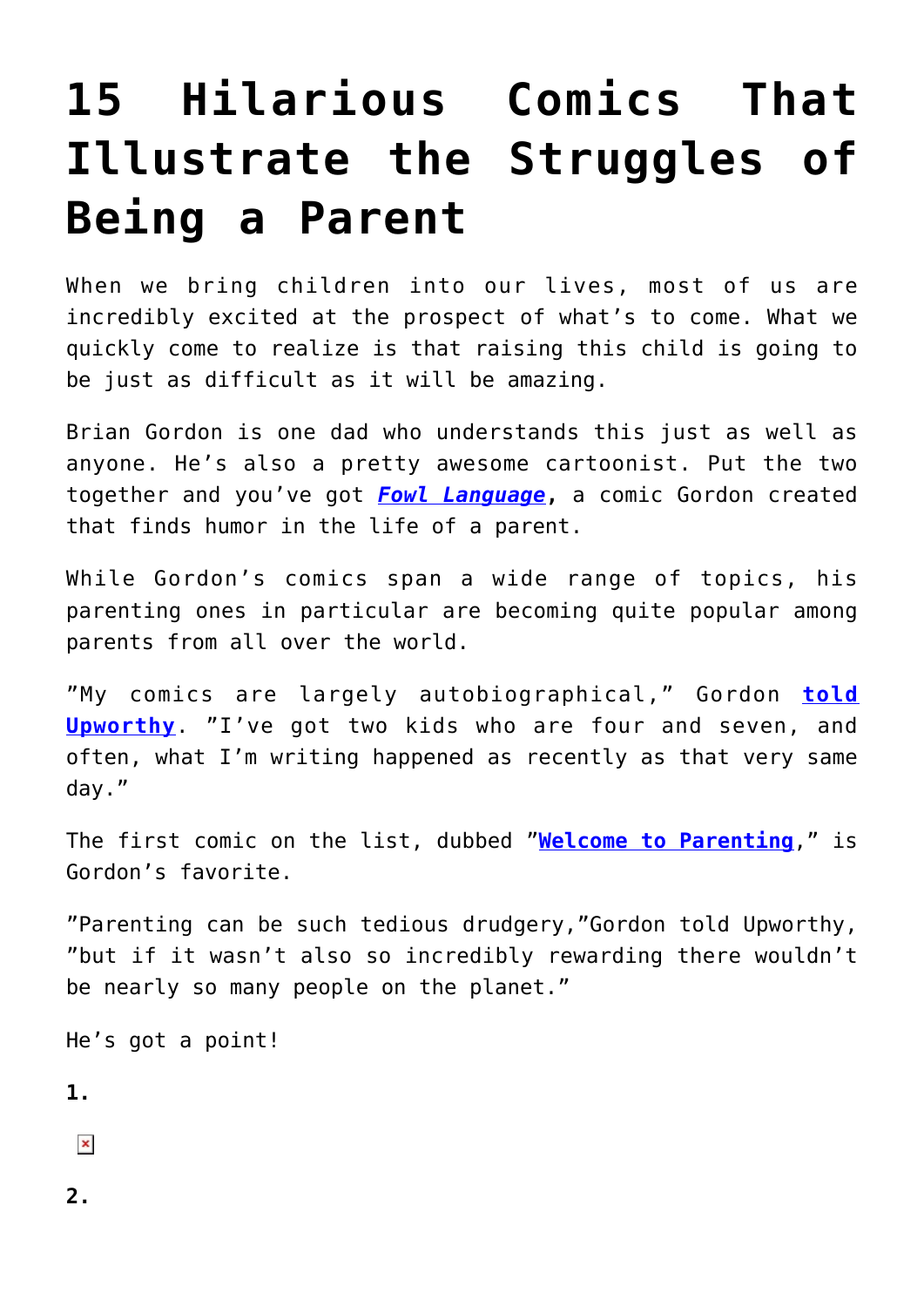## **[15 Hilarious Comics That](https://intellectualtakeout.org/2016/09/15-hilarious-comics-that-illustrate-the-struggles-of-being-a-parent/) [Illustrate the Struggles of](https://intellectualtakeout.org/2016/09/15-hilarious-comics-that-illustrate-the-struggles-of-being-a-parent/) [Being a Parent](https://intellectualtakeout.org/2016/09/15-hilarious-comics-that-illustrate-the-struggles-of-being-a-parent/)**

When we bring children into our lives, most of us are incredibly excited at the prospect of what's to come. What we quickly come to realize is that raising this child is going to be just as difficult as it will be amazing.

Brian Gordon is one dad who understands this just as well as anyone. He's also a pretty awesome cartoonist. Put the two together and you've got *[Fowl Language](http://www.fowllanguagecomics.com/)***,** a comic Gordon created that finds humor in the life of a parent.

While Gordon's comics span a wide range of topics, his parenting ones in particular are becoming quite popular among parents from all over the world.

"My comics are largely autobiographical," Gordon **[told](http://www.upworthy.com/15-hilarious-parenting-comics-that-are-almost-too-real) [Upworthy](http://www.upworthy.com/15-hilarious-parenting-comics-that-are-almost-too-real)**. "I've got two kids who are four and seven, and often, what I'm writing happened as recently as that very same day."

The first comic on the list, dubbed "**[Welcome to Parenting](http://www.fowllanguagecomics.com/comic/welcome-to-parenting/)**," is Gordon's favorite.

"Parenting can be such tedious drudgery,"Gordon told Upworthy, "but if it wasn't also so incredibly rewarding there wouldn't be nearly so many people on the planet."

He's got a point!

**1.**

 $\pmb{\times}$ 

**2.**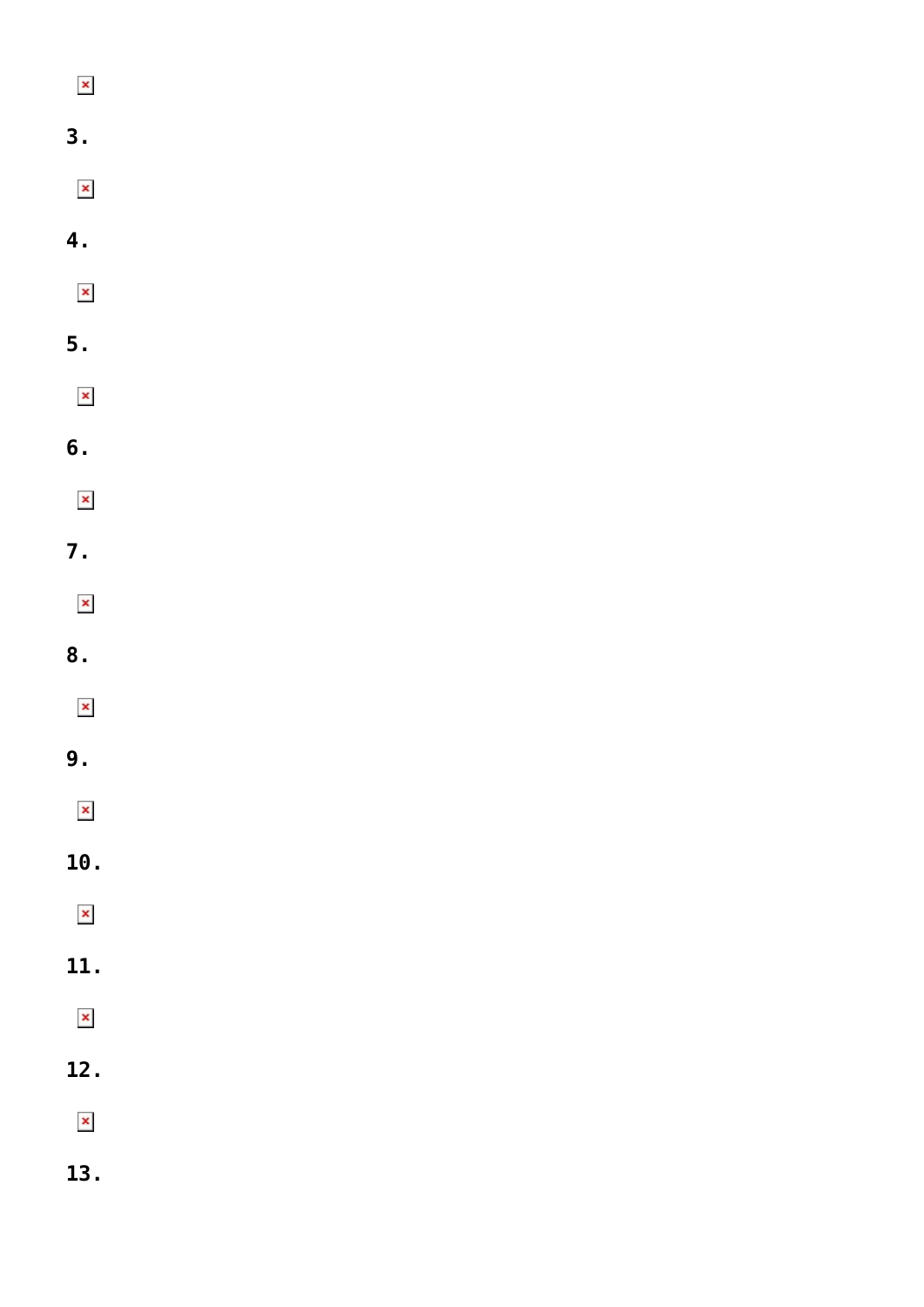| $\pmb{\times}$        |  |  |
|-----------------------|--|--|
| 3.                    |  |  |
| $\pmb{\times}$        |  |  |
| 4.                    |  |  |
| $\pmb{\times}$        |  |  |
| 5.                    |  |  |
| $\pmb{\times}$        |  |  |
| 6.                    |  |  |
| $\pmb{\times}$        |  |  |
| 7.                    |  |  |
| $\pmb{\times}$        |  |  |
| 8.                    |  |  |
| $\pmb{\times}$        |  |  |
| 9.                    |  |  |
| $\pmb{\times}$        |  |  |
| 10.                   |  |  |
| $\pmb{\times}$        |  |  |
| 11.                   |  |  |
|                       |  |  |
| $\pmb{\times}$        |  |  |
| 12.                   |  |  |
| $\pmb{\times}$<br>13. |  |  |